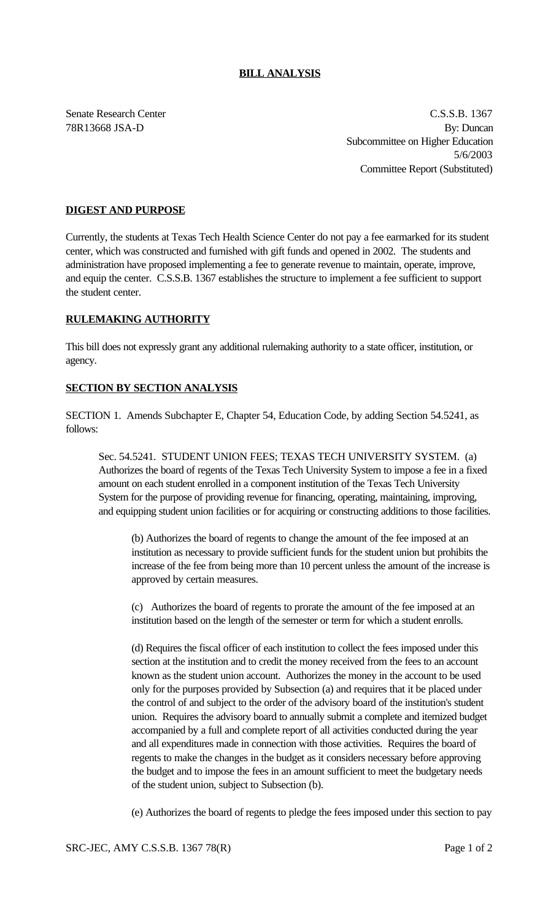## **BILL ANALYSIS**

Senate Research Center C.S.S.B. 1367 78R13668 JSA-D By: Duncan Subcommittee on Higher Education 5/6/2003 Committee Report (Substituted)

## **DIGEST AND PURPOSE**

Currently, the students at Texas Tech Health Science Center do not pay a fee earmarked for its student center, which was constructed and furnished with gift funds and opened in 2002. The students and administration have proposed implementing a fee to generate revenue to maintain, operate, improve, and equip the center. C.S.S.B. 1367 establishes the structure to implement a fee sufficient to support the student center.

## **RULEMAKING AUTHORITY**

This bill does not expressly grant any additional rulemaking authority to a state officer, institution, or agency.

## **SECTION BY SECTION ANALYSIS**

SECTION 1. Amends Subchapter E, Chapter 54, Education Code, by adding Section 54.5241, as follows:

Sec. 54.5241. STUDENT UNION FEES; TEXAS TECH UNIVERSITY SYSTEM. (a) Authorizes the board of regents of the Texas Tech University System to impose a fee in a fixed amount on each student enrolled in a component institution of the Texas Tech University System for the purpose of providing revenue for financing, operating, maintaining, improving, and equipping student union facilities or for acquiring or constructing additions to those facilities.

(b) Authorizes the board of regents to change the amount of the fee imposed at an institution as necessary to provide sufficient funds for the student union but prohibits the increase of the fee from being more than 10 percent unless the amount of the increase is approved by certain measures.

(c) Authorizes the board of regents to prorate the amount of the fee imposed at an institution based on the length of the semester or term for which a student enrolls.

(d) Requires the fiscal officer of each institution to collect the fees imposed under this section at the institution and to credit the money received from the fees to an account known as the student union account. Authorizes the money in the account to be used only for the purposes provided by Subsection (a) and requires that it be placed under the control of and subject to the order of the advisory board of the institution's student union. Requires the advisory board to annually submit a complete and itemized budget accompanied by a full and complete report of all activities conducted during the year and all expenditures made in connection with those activities. Requires the board of regents to make the changes in the budget as it considers necessary before approving the budget and to impose the fees in an amount sufficient to meet the budgetary needs of the student union, subject to Subsection (b).

(e) Authorizes the board of regents to pledge the fees imposed under this section to pay